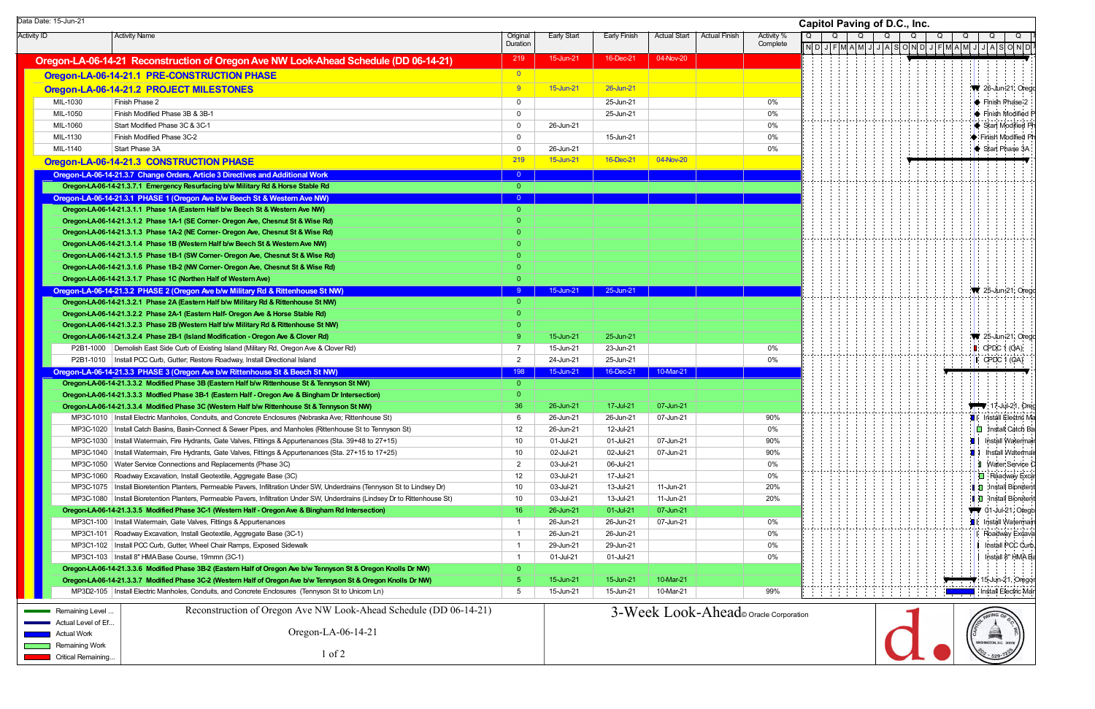Activity ID Activity Name Original Duration Early Start | Early Finish | Actual Start | Actual Finish | Activity % **Complete Oregon-LA-06-14-21 Reconstruction of Oregon Ave NW Look-Ahead Schedule (DD 06-14-21)** 219 15-Jun-21 16-Dec-21 36-Dec-21 **Oregon-LA-06-14-21.1 PRE-CONSTRUCTION PHASE CONSTRUCTION PHASE Oregon-LA-06-14-21.2 PROJECT MILESTONES 6 6** 16 15-Jun-21 26-Jun-21 26-Jun-21 26-Jun-21 26-Jun-21 26-Jun-21 MIL-1030 Finish Phase 2 0 25-Jun-21 0%MIL-1050 Finish Modified Phase 3B & 3B-1 0 25-Jun-21 0%MIL-1060 Start Modified Phase 3C & 3C-1 0 26-Jun-21 0%MIL-1130Finish Modified Phase 3C-2 **0 15-Jun-21** 0 15-Jun-21 0 15-Jun-21 0 15-Jun-21 0 15-Jun-21 0 15-Jun-21 0 15-Jun-21 0 16-MIL-1140 Start Phase 3A 0 26-Jun-21 0%**Oregon-LA-06-14-21.3 CONSTRUCTION PHASE** 219 **15-Jun-21 16-Dec-21 16-Dec-21 16-Dec-21 16-Dec-21 16-Nov-20 Oregon-LA-06-14-21.3.7 Change Orders, Article 3 Directives and Additional Work** 0 **11 <b>vestari 11 vestigation** 0 **0 Oregon-LA-06 Oregon-LA-06-14-21.3.7.1 Emergency Resurfacing b/w M - ilitary Rd & Horse Stable Rd** 0 **Oregon-LA-06- Oregon-LA-06-14-21.3.1 PHASE 1 (Oregon Ave b/w B 1 eech St & Western Ave NW)** <sup>0</sup> **Oregon-LA-06-14-21.3.1.1 Phase 1A (Eastern Half b/w Beech St & Western Ave NW) Department of the Construction Construction Construction Construction Construction Construction Construction Construction Construction Const Oregon-LA-06-14-21.3.1.2 Phase 1A-1 (SE Corner- Oregon Ave, Chesnut St & Wise Rd) Oregon-LA-06-14-21.3.1.3 Phase 1A-2 (NE Corner- Oregon Ave, Chesnut St & Wise Rd) Oregon-LA-06-14-21.3.1.4 Phase 1B (Western Half b/w Beech St & Western Ave NW) Oregon-LA-06-14-21.3.1.5 Phase 1B-1 (SW Corner- Oregon Ave, Chesnut St & Wise Rd) Oregon-LA-06-14-21.3.1.6 Phase 1B-2 (NW Corner- Oregon Ave, Chesnut St & Wise Rd) Oregon-LA-06-14-21.3.1.7 Phase 1C (Northen Half of Western Ave) Oregon-LA-06- Oregon-LA-06-14-21.3.2 PHASE 2 (Oregon Ave b/w Military Rd & Rittenhouse St NW) 1** <sup>9</sup> 15-Jun-21 25-Jun-21 **Oregon-LA-06-14-21.3.2.1 Phase 2A (Eastern Half b/w Military Rd & Rittenhouse St NW) Oregon-LA-06-14-21.3.2.2 Phase 2A-1 (Eastern Half- Oregon Ave & Horse Stable Rd) Oregon-LA-06 Oregon-LA-06-14-21.3.2.3 Ph - ase 2B (Western Half b/w Military Rd & Rittenhouse St NW)** 0 **Oregon-LA-06-14-21.3.2.4 Phase 2B-1 (Island Modification - Oregon Ave & Clover Rd)** 9 15-Jun-21 25-Jun-21 25-Jun-21 P2B1-1000 |Demolish East Side Curb of Existing Island (Military Rd, Oregon Ave & Clover Rd) 7 15-Jun-21 23-Jun-21 0% P2B1-1010 | Install PCC Curb, Gutter; Restore Roadway, Install Directional Island 2 24-Jun-21 25-Jun-21 25-Jun-21 25-Jun-21 25-Jun-21 25-Jun-21 25-Jun-21 25-Jun-21 25-Jun-21 25-Jun-21 25-Jun-21 25-Jun-21 25-Jun-21 25-Jun-2 **Oregon-LA-06-14-21.3.3 PHASE 3 (Oregon Ave b/w Rittenhouse St & Beech St NW)** 198 198 15-Jun-21 16-Dec-21 10-Mar-21 **Oregon-LA-06 Oregon-LA-06-14-21.3.3.2 Modified Ph - ase 3B (Eastern Half b/w Rittenhouse St & Tennyson St NW)** 0 **Oregon-LA-06 Oregon-LA-06-14-21.3.3.3 Modfied Ph - ase 3B-1 (Eastern Half - Oregon Ave & Bingham Dr Intersection)** 0 **Oregon-LA-06-14-21.3.3.4 Modified Phase 3C (Western Half b/w Rittenhouse St & Tennyson St NW)** 36 36 26-Jun-21 17-Jul-21 07-Jun-21 07-Jun-21 MP3C-1010 Install Electric Manholes, Conduits, and Concrete Enclosures (Nebraska Ave; Rittenhouse St) 6 26-Jun-21 26-Jun-21 07-Jun-21 90% MP3C-1020 | Install Catch Basins, Basin-Connect & Sewer Pipes, and Manholes (Rittenhouse St to Tennyson St) 26-Jun-21 12-Jul-21 0% MP3C-1030 Install Watermain, Fire Hydrants, Gate Valves, Fittings & Appurtenances (Sta. 39+48 to 27+15) 10 01-Jul-21 01-Jul-21 07-Jun-21 90% MP3C-1040 Install Watermain, Fire Hydrants, Gate Valves, Fittings & Appurtenances (Sta. 27+15 to 17+25) 10 02-Jul-21 02-Jul-21 07-Jun-21 90% MP3C-1050 | Water Service Connections and Replacements (Phase 3C) 0% | 03-Jul-21 0% MP3C-1060 | Roadway Excavation, Install Geotextile, Aggregate Base (3C) 12 03-Jul-21 0% MP3C-1075 Install Bioretention Planters, Permeable Pavers, Infiltration Under SW, Underdrains (Tennyson St to Lindsey Dr) 10 03-Jul-21 13-Jul-21 11-Jun-21 20% MP3C-1080 | Install Bioretention Planters, Permeable Pavers, Infiltration Under SW, Underdrains (Lindsey Dr to Rittenhouse St) 13-Jul-21 11-Jun-21 20% **Oregon-LA-06-14-21.3.3.5 Modified Phase 3C-1 (Western Half - Oregon Ave & Bingham Rd Intersection) 16 26-Jun-21 01-Jul-21 01-Jul-21 07-Jun-21** MP3C1-100 Install Watermain, Gate Valves, Fittings & Appurtenances 1 26-Jun-21 26-Jun-21 07-Jun-21 0% MP3C1-101 Roadway Excavation, Install Geotextile, Aggregate Base (3C-1) 1 26-Jun-21 26-Jun-21 0% MP3C1-102 Install PCC Curb, Gutter, Wheel Chair Ramps, Exposed Sidewalk 1 29-Jun-21 29-Jun-21 0% MP3C1-103 Install 8" HMA Base Course, 19mmn (3C-1) 1 01-Jul-21 01-Jul-21 0% **Oregon-LA-06-14-21.3.3.6 Modified Phase 3B-2 (Eastern Half of Oregon Ave b/w Tennyson St & Oregon Knolls Dr NW)** 0 **Oregon-LA-06-14-21.3.3.7 Modified Phase 3C-2 (Western Half of Oregon Ave b/w Tennyson St & Oregon Knolls Dr NW) 5 15-Jun-21 15-Jun-21 15-Jun-21 10-Mar-21 10-Mar-21** MP3D2-105 Install Electric Manholes, Conduits, and Concrete Enclosures (Tennyson St to Unicorn Ln) 5 15-Jun-21 15-Jun-21 10-Mar-21 99% OData Date: 15-Jun-21 **Capitol Paving of D.C., Inc.** Remaining Level Actual Level of Ef...Actual Work**Remaining Work** Critical Remaining... Reconstruction of Oregon Ave NW Look-Ahead Schedule (DD 06-14-21) Oregon-LA-06-14-21 1 of 23-Week Look-Ahead<sup>©</sup> Oracle Corporation

|      | <b>Capitol Paving of D.C., Inc.</b> |   |                     |   |   |         |              |   |   |       |   |  |                     |    |                                                                           |  |   |                  |
|------|-------------------------------------|---|---------------------|---|---|---------|--------------|---|---|-------|---|--|---------------------|----|---------------------------------------------------------------------------|--|---|------------------|
| Q    |                                     | Q |                     | Q |   |         | Q            |   | Q |       | Q |  | Q                   |    | Q                                                                         |  | Q |                  |
|      | $\overline{N}$ D                    |   | $J$ $F$ $M$ $A$ $M$ |   | J | $\sf J$ | $\mathsf{A}$ | s |   | O N D |   |  | $J$ $F$ $M$ $A$ $M$ | J  | JA S O N D                                                                |  |   |                  |
|      |                                     |   |                     |   |   |         |              |   |   |       |   |  |                     |    |                                                                           |  |   |                  |
|      |                                     |   |                     |   |   |         |              |   |   |       |   |  |                     |    |                                                                           |  |   |                  |
|      |                                     |   |                     |   |   |         |              |   |   |       |   |  |                     |    | 26-Jun-21, Orego                                                          |  |   |                  |
|      |                                     |   |                     |   |   |         |              |   |   |       |   |  |                     |    | Finish Phase 2                                                            |  |   |                  |
|      |                                     |   |                     |   |   |         |              |   |   |       |   |  |                     |    | Finish Modified P                                                         |  |   |                  |
|      |                                     |   |                     |   |   |         |              |   |   |       |   |  |                     |    | Start Modified Ph                                                         |  |   |                  |
|      |                                     |   |                     |   |   |         |              |   |   |       |   |  |                     |    | Finish Modified Ph                                                        |  |   |                  |
|      |                                     |   |                     |   |   |         |              |   |   |       |   |  |                     |    | Start Phase 3A                                                            |  |   |                  |
|      |                                     |   |                     |   |   |         |              |   |   |       |   |  |                     |    |                                                                           |  |   |                  |
|      |                                     |   |                     |   |   |         |              |   |   |       |   |  |                     |    |                                                                           |  |   |                  |
|      |                                     |   |                     |   |   |         |              |   |   |       |   |  |                     |    |                                                                           |  |   |                  |
|      |                                     |   |                     |   |   |         |              |   |   |       |   |  |                     |    |                                                                           |  |   |                  |
|      |                                     |   |                     |   |   |         |              |   |   |       |   |  |                     |    |                                                                           |  |   |                  |
|      |                                     |   |                     |   |   |         |              |   |   |       |   |  |                     |    |                                                                           |  |   |                  |
|      |                                     |   |                     |   |   |         |              |   |   |       |   |  |                     |    |                                                                           |  |   |                  |
|      |                                     |   |                     |   |   |         |              |   |   |       |   |  |                     |    |                                                                           |  |   |                  |
|      |                                     |   |                     |   |   |         |              |   |   |       |   |  |                     |    |                                                                           |  |   |                  |
|      |                                     |   |                     |   |   |         |              |   |   |       |   |  |                     |    |                                                                           |  |   |                  |
|      |                                     |   |                     |   |   |         |              |   |   |       |   |  |                     |    | 25-Jun-21, Orego                                                          |  |   |                  |
|      |                                     |   |                     |   |   |         |              |   |   |       |   |  |                     |    |                                                                           |  |   |                  |
|      |                                     |   |                     |   |   |         |              |   |   |       |   |  |                     |    |                                                                           |  |   |                  |
|      |                                     |   |                     |   |   |         |              |   |   |       |   |  |                     |    |                                                                           |  |   |                  |
|      |                                     |   |                     |   |   |         |              |   |   |       |   |  |                     |    | 25-Jun-21, Orego                                                          |  |   |                  |
|      |                                     |   |                     |   |   |         |              |   |   |       |   |  |                     |    | CPDC 1 (OA):                                                              |  |   |                  |
|      |                                     |   |                     |   |   |         |              |   |   |       |   |  |                     |    | CPDC 1 (OA)                                                               |  |   |                  |
|      |                                     |   |                     |   |   |         |              |   |   |       |   |  |                     |    |                                                                           |  |   |                  |
|      |                                     |   |                     |   |   |         |              |   |   |       |   |  |                     |    |                                                                           |  |   |                  |
|      |                                     |   |                     |   |   |         |              |   |   |       |   |  |                     |    |                                                                           |  |   |                  |
|      |                                     |   |                     |   |   |         |              |   |   |       |   |  |                     |    | $\blacktriangledown$ 17-Jul-21, Oreg                                      |  |   |                  |
|      |                                     |   |                     |   |   |         |              |   |   |       |   |  |                     | UΓ | Install Electric Ma                                                       |  |   | Install Catch Ba |
|      |                                     |   |                     |   |   |         |              |   |   |       |   |  |                     |    | Install Watermair                                                         |  |   |                  |
|      |                                     |   |                     |   |   |         |              |   |   |       |   |  |                     |    | Install Watermain<br>ı                                                    |  |   |                  |
|      |                                     |   |                     |   |   |         |              |   |   |       |   |  |                     |    | O                                                                         |  |   | Water Service C  |
|      |                                     |   |                     |   |   |         |              |   |   |       |   |  |                     |    | U                                                                         |  |   | Roadway Exca     |
|      |                                     |   |                     |   |   |         |              |   |   |       |   |  |                     | ı  | Install Bioretent<br>О                                                    |  |   |                  |
|      |                                     |   |                     |   |   |         |              |   |   |       |   |  |                     |    | Install Bioretent<br>О                                                    |  |   |                  |
|      |                                     |   |                     |   |   |         |              |   |   |       |   |  |                     |    | 01-Jul-21, Orego                                                          |  |   |                  |
|      |                                     |   |                     |   |   |         |              |   |   |       |   |  |                     |    | Install Watermain                                                         |  |   |                  |
|      |                                     |   |                     |   |   |         |              |   |   |       |   |  |                     | F  | Roadway Excava                                                            |  |   |                  |
|      |                                     |   |                     |   |   |         |              |   |   |       |   |  |                     |    | Install PCC Curb,                                                         |  |   |                  |
|      |                                     |   |                     |   |   |         |              |   |   |       |   |  |                     |    | Install 8" HMA Ba                                                         |  |   |                  |
|      |                                     |   |                     |   |   |         |              |   |   |       |   |  |                     |    |                                                                           |  |   |                  |
|      |                                     |   |                     |   |   |         |              |   |   |       |   |  | المتمادي            |    | 15-Jun-21, Oregor                                                         |  |   |                  |
|      |                                     |   |                     |   |   |         |              |   |   |       |   |  |                     |    | Install Electric Mar                                                      |  |   |                  |
| tion |                                     |   |                     |   |   |         |              |   |   |       |   |  |                     |    | CON PAVING OF O.C<br><b>TITULIA</b><br>WASHINGTON, D.C. 20018<br>$-529-7$ |  |   |                  |
|      |                                     |   |                     |   |   |         |              |   |   |       |   |  |                     |    |                                                                           |  |   |                  |